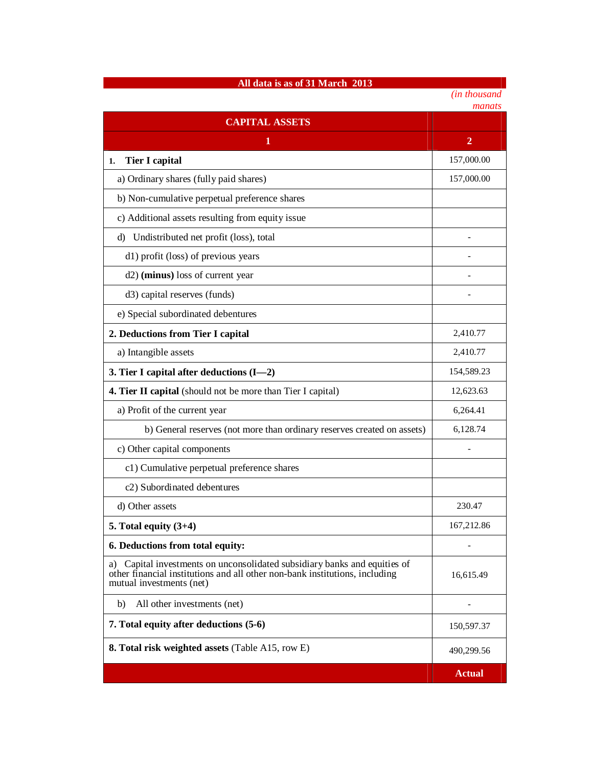| All data is as of 31 March 2013                                                                                                                                                      |                        |  |
|--------------------------------------------------------------------------------------------------------------------------------------------------------------------------------------|------------------------|--|
|                                                                                                                                                                                      | (in thousand<br>manats |  |
| <b>CAPITAL ASSETS</b>                                                                                                                                                                |                        |  |
| 1                                                                                                                                                                                    | $\overline{2}$         |  |
| <b>Tier I capital</b><br>1.                                                                                                                                                          | 157,000.00             |  |
| a) Ordinary shares (fully paid shares)                                                                                                                                               | 157,000.00             |  |
| b) Non-cumulative perpetual preference shares                                                                                                                                        |                        |  |
| c) Additional assets resulting from equity issue                                                                                                                                     |                        |  |
| Undistributed net profit (loss), total<br>d)                                                                                                                                         |                        |  |
| d1) profit (loss) of previous years                                                                                                                                                  |                        |  |
| d2) (minus) loss of current year                                                                                                                                                     |                        |  |
| d3) capital reserves (funds)                                                                                                                                                         |                        |  |
| e) Special subordinated debentures                                                                                                                                                   |                        |  |
| 2. Deductions from Tier I capital                                                                                                                                                    | 2,410.77               |  |
| a) Intangible assets                                                                                                                                                                 | 2,410.77               |  |
| 3. Tier I capital after deductions $(I-2)$                                                                                                                                           | 154,589.23             |  |
| <b>4. Tier II capital</b> (should not be more than Tier I capital)                                                                                                                   | 12,623.63              |  |
| a) Profit of the current year                                                                                                                                                        | 6,264.41               |  |
| b) General reserves (not more than ordinary reserves created on assets)                                                                                                              | 6,128.74               |  |
| c) Other capital components                                                                                                                                                          |                        |  |
| c1) Cumulative perpetual preference shares                                                                                                                                           |                        |  |
| c2) Subordinated debentures                                                                                                                                                          |                        |  |
| d) Other assets                                                                                                                                                                      | 230.47                 |  |
| 5. Total equity $(3+4)$                                                                                                                                                              | 167,212.86             |  |
| 6. Deductions from total equity:                                                                                                                                                     |                        |  |
| a) Capital investments on unconsolidated subsidiary banks and equities of<br>other financial institutions and all other non-bank institutions, including<br>mutual investments (net) | 16,615.49              |  |
| All other investments (net)<br>b)                                                                                                                                                    |                        |  |
| 7. Total equity after deductions (5-6)                                                                                                                                               | 150,597.37             |  |
| <b>8. Total risk weighted assets (Table A15, row E)</b>                                                                                                                              | 490,299.56             |  |
|                                                                                                                                                                                      | <b>Actual</b>          |  |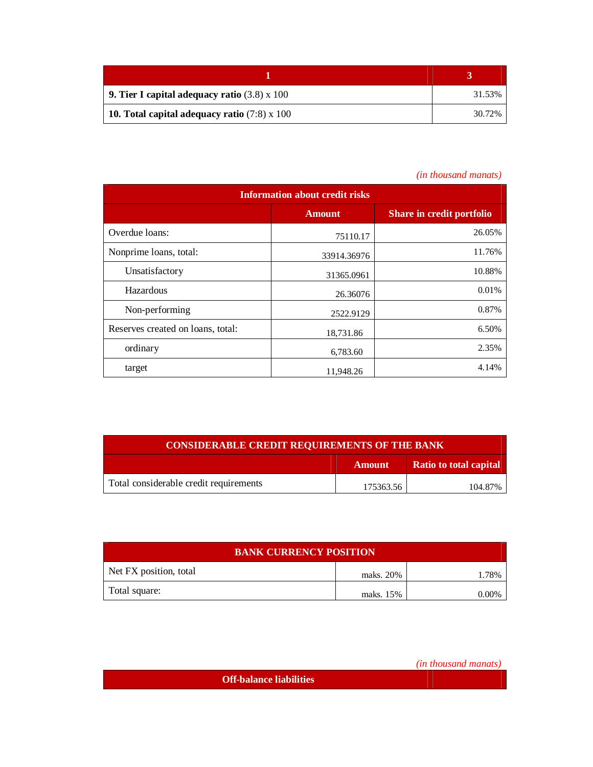| 9. Tier I capital adequacy ratio $(3.8) \times 100$ | 31.53% |
|-----------------------------------------------------|--------|
| 10. Total capital adequacy ratio $(7.8) \times 100$ | 30.72% |

## *(in thousand manats)*

| <b>Information about credit risks</b> |               |                                  |  |
|---------------------------------------|---------------|----------------------------------|--|
|                                       | <b>Amount</b> | <b>Share in credit portfolio</b> |  |
| Overdue loans:                        | 75110.17      | 26.05%                           |  |
| Nonprime loans, total:                | 33914.36976   | 11.76%                           |  |
| Unsatisfactory                        | 31365.0961    | 10.88%                           |  |
| Hazardous                             | 26.36076      | 0.01%                            |  |
| Non-performing                        | 2522.9129     | 0.87%                            |  |
| Reserves created on loans, total:     | 18,731.86     | 6.50%                            |  |
| ordinary                              | 6,783.60      | 2.35%                            |  |
| target                                | 11,948.26     | 4.14%                            |  |

| <b>CONSIDERABLE CREDIT REQUIREMENTS OF THE BANK</b> |               |                        |
|-----------------------------------------------------|---------------|------------------------|
|                                                     | <b>Amount</b> | Ratio to total capital |
| Total considerable credit requirements              | 175363.56     | 104.87%                |

| <b>BANK CURRENCY POSITION</b> |           |          |  |
|-------------------------------|-----------|----------|--|
| Net FX position, total        | maks. 20% | .78%     |  |
| Total square:                 | maks. 15% | $0.00\%$ |  |

*(in thousand manats)*

**Off-balance liabilities**